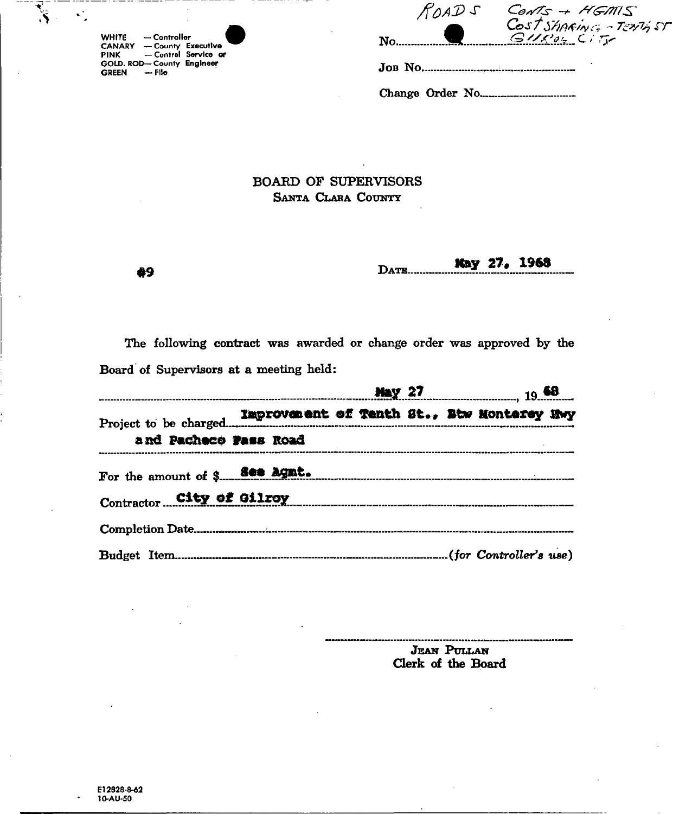| <b>WHITE</b>  | $-$ Controller            |                      |
|---------------|---------------------------|----------------------|
| <b>CANARY</b> | - County Executive        |                      |
| <b>PINK</b>   |                           | - Central Service or |
|               | GOLD, ROD-County Engineer |                      |
| GREEN - File  |                           |                      |

69

Š.

٠.

|         | ROAD S | $ConvS + HGMIS$<br>Cost Sharing - TENTHST |
|---------|--------|-------------------------------------------|
| No.     |        | $GUP_{04}$ City                           |
| JOB NO. |        |                                           |

Change Order No...............................

## **BOARD OF SUPERVISORS** SANTA CLARA COUNTY

May 27, 1968 DATE.

The following contract was awarded or change order was approved by the Board of Supervisors at a meeting held:

|                                                     |  |  |  |  |  |  | <b>Nay 27</b> 19 68 |  |  |
|-----------------------------------------------------|--|--|--|--|--|--|---------------------|--|--|
|                                                     |  |  |  |  |  |  |                     |  |  |
| and Pacheco Pass Road                               |  |  |  |  |  |  |                     |  |  |
|                                                     |  |  |  |  |  |  |                     |  |  |
| Contractor City of Gilrey Contractor City of Gilrey |  |  |  |  |  |  |                     |  |  |
|                                                     |  |  |  |  |  |  |                     |  |  |
|                                                     |  |  |  |  |  |  |                     |  |  |

**JEAN PULLAN** Clerk of the Board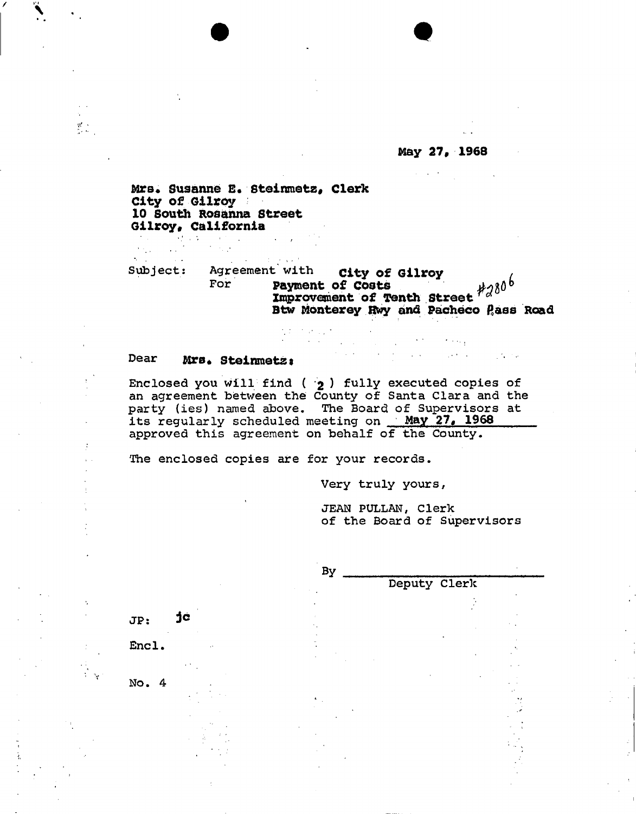**May 27, 1968** 

 $\sigma$  -  $\sigma_{\rm eff}$  $\mathcal{A}$  , we can expect the  $\mathcal{A}$ 

 $\sim 10^{11}$  m  $^{-1}$  .

**Mrs\* Susanne B\* steinmetz9 Clerk City of Gilroy 10 South Ros&nna Street Gilroy, California** 

Subject: Agreement with **City of Gilroy**<br>For **Payment of Costs** For **payment of costs**  Improvement of Tenth Street  $^{red}$ Btw Monterey Hwy and Pacheco Pass Road

 $\mathcal{A} \in \mathcal{A}$  , where  $\mathcal{A}$ 

## Dear Mrs. Steinmetz:

 $\mathcal{F}^{\mathcal{G}}(\mathcal{F})$  , where  $\mathcal{F}^{\mathcal{G}}(\mathcal{F})$ 

 $\mathbf{V}$  $\frac{W}{2}$  ,  $\frac{W}{2}$  ,

> Enclosed you will find (  $\dot{\textbf{2}}$  ) fully executed copies of an agreement between the County of Santa Clara and the party (ies) named above. The Board of Supervisors at its regularly scheduled meeting on **May 27# 1968**  approved this agreement on behalf of the County.

なたいかいよう a a S

The enclosed copies are for your records.

Very truly yours,

JEAN PULLAN, Clerk of the Board of Supervisors

|                         |        | By           |  |  |  |  |
|-------------------------|--------|--------------|--|--|--|--|
|                         |        | Deputy Clerk |  |  |  |  |
|                         |        |              |  |  |  |  |
| JP:                     | jc     |              |  |  |  |  |
|                         |        |              |  |  |  |  |
| Encl.                   | i,     |              |  |  |  |  |
|                         | $\sim$ |              |  |  |  |  |
| No.<br>$\boldsymbol{4}$ |        |              |  |  |  |  |
|                         |        |              |  |  |  |  |
|                         |        |              |  |  |  |  |
|                         |        |              |  |  |  |  |
|                         |        |              |  |  |  |  |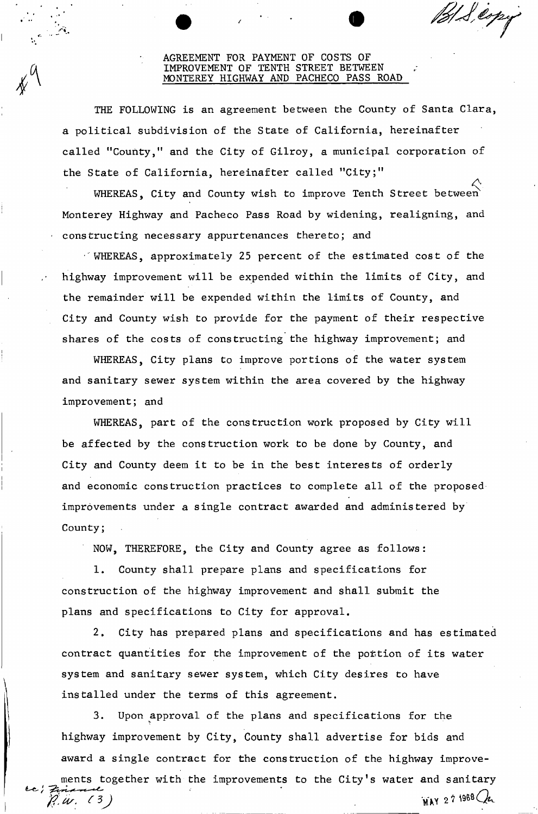## AGREEMENT FOR PAYMENT OF COSTS OF ROVEMENT OF TENTH STREET BETWEEN MONTEREY HIGHWAY AND PACHECO PASS ROAD

HS exp

THE FOLLOWING is an agreement between the County of Santa Clara, a political subdivision of the State of California, hereinafter called "County," and the City of Gilroy, a municipal corporation of the State of California, hereinafter called "City;"

WHEREAS, City and County wish to improve Tenth Street between Monterey Highway and Pacheco Pass Road by widening, realigning, and constructing necessary appurtenances thereto; and

• WHEREAS, approximately 25 percent of the estimated cost of the highway improvement will be expended within the limits of City, and the remainder will be expended within the limits of County, and City and County wish to provide for the payment of their respective shares of the costs of constructing the highway improvement; and

WHEREAS, City plans to improve portions of the water system and sanitary sewer system within the area covered by the highway improvement; and

WHEREAS, part of the construction work proposed by City will be affected by the construction work to be done by County, and City and County deem it to be in the best interests of orderly and economic construction practices to complete all of the proposed improvements under a single contract awarded and administered by County;

NOW, THEREFORE, the City and County agree as follows:

1. County shall prepare plans and specifications for construction of the highway improvement and shall submit the plans and specifications to City for approval.

2. City has prepared plans and specifications and has estimated contract quantities for the improvement of the portion of its water system and sanitary sewer system, which City desires to have installed under the terms of this agreement.

3. Upon approval of the plans and specifications for the highway improvement by City, County shall advertise for bids and award a single contract for the construction of the highway improvents together with the improvements to the City's water and sanitary **MAY 27 1968 Que** *ft. Us.*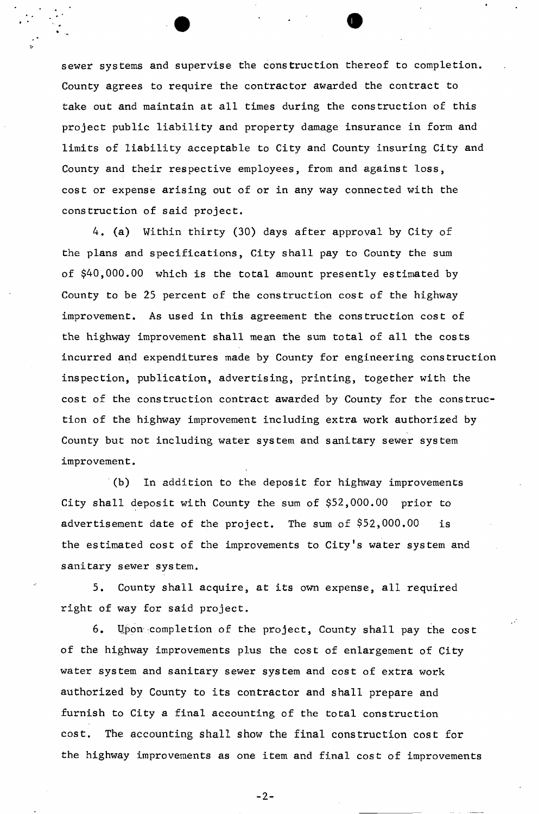sewer systems and supervise the construction thereof to completion. County agrees to require the contractor awarded the contract to take out and maintain at all times during the construction of this project public liability and property damage insurance in form and limits of liability acceptable to City and County insuring City and County and their respective employees, from and against loss, cost or expense arising out of or in any way connected with the construction of said project.

4. (a) Within thirty (30) days after approval by City of the plans and specifications, City shall pay to County the sum of \$40,000.00 which is the total amount presently estimated by County to be 25 percent of the construction cost of the highway improvement. As used in this agreement the construction cost of the highway improvement shall mean the sum total of all the costs incurred and expenditures made by County for engineering construction inspection, publication, advertising, printing, together with the cost of the construction contract awarded by County for the construction of the highway improvement including extra work authorized by County but not including water system and sanitary sewer system improvement.

(b) In addition to the deposit for highway improvements City shall deposit with County the sum of \$52,000.00 prior to advertisement date of the project. The sum of \$52,000.00 is the estimated cost of the improvements to City's water system and sanitary sewer system.

5. County shall acquire, at its own expense, all required right of way for said project.

6. Upon completion of the project, County shall pay the cost of the highway improvements plus the cost of enlargement of City water system and sanitary sewer system and cost of extra work authorized by County to its contractor and shall prepare and furnish to City a final accounting of the total construction cost. The accounting shall show the final construction cost for the highway improvements as one item and final cost of improvements

 $-2-$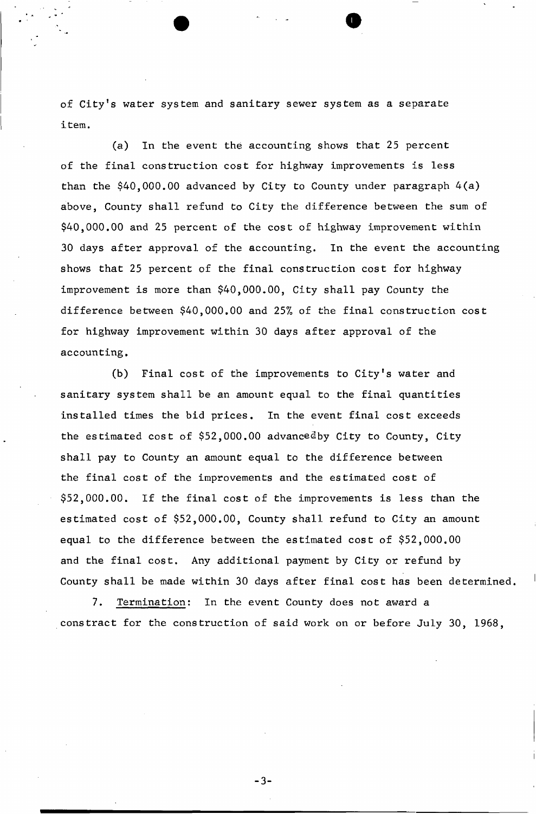of City's water system and sanitary sewer system as a separate item.

(a) In the event the accounting shows that 25 percent of the final construction cost for highway improvements is less than the \$40,000.00 advanced by City to County under paragraph 4(a) above, County shall refund to City the difference between the sum of \$40,000.00 and 25 percent of the cost of highway improvement within 30 days after approval of the accounting. In the event the accounting shows that 25 percent of the final construction cost for highway improvement is more than \$40,000.00, City shall pay County the difference between \$40,000,00 and 25% of the final construction cost for highway improvement within 30 days after approval of the accounting.

(b) Final cost of the improvements to City's water and sanitary system shall be an amount equal to the final quantities installed times the bid prices. In the event final cost exceeds the estimated cost of \$52,000.00 advancedby City to County, City shall pay to County an amount equal to the difference between the final cost of the improvements and the estimated cost of \$52,000.00. If the final cost of the improvements is less than the estimated cost of \$52,000.00, County shall refund to City an amount equal to the difference between the estimated cost of \$52,000.00 and the final cost. Any additional payment by City or refund by County shall be made within 30 days after final cost has been determined.

7. Termination: In the event County does not award a cons tract for the construction of said work on or before July 30, 1968,

- 3 -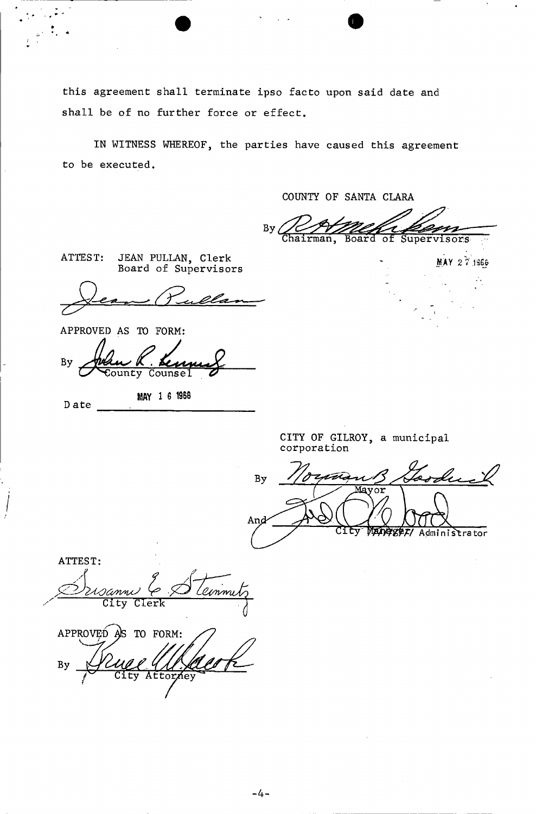this agreement shall terminate ipso facto upon said date and shall be of no further force or effect.

IN WITNESS WHEREOF, the parties have caused this agreement to be executed.

COUNTY OF SANTA CLARA

By hairman, Board of Supervisors

MAY 27 1966

ATTEST: JEAN PULLAN, Clerk Board of Supervisors

APPROVED AS TO FORM:

D ate

By ounty Counsel

**MAY 1 6 1968** 

CITY OF GILROY, a municipal corporation

Loodu By talà And *TABET*/ Administrator

ATTEST: *A*  e*u*nni City Clerk  $APPROV E<sub>D</sub>$  as to form: By *-TZM : XX*<br>Attor*i*ey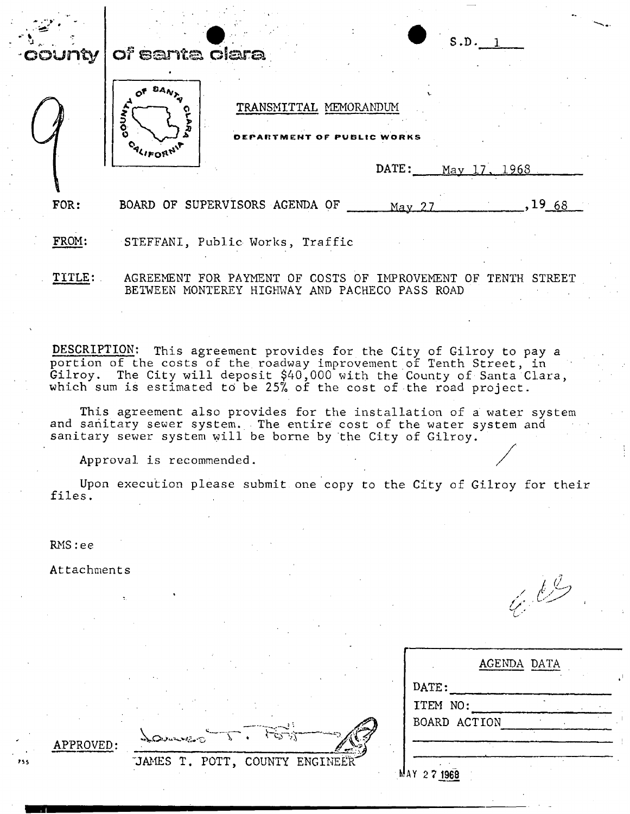

This agreement also provides for the installation of a water system and sanitary sewer system. The entire cost of the water system and sanitary sewer system will be borne by the City of Gilroy.

Approval is recommended.

LOWWER

Upon execution please submit one copy to the City of Gilroy for their files.

RMS:ee

Attachments

/ (/ / *t/' u* 

| BOARD ACTION |                    |  |
|--------------|--------------------|--|
|              |                    |  |
|              |                    |  |
|              | <b>AGENDA DATA</b> |  |

APPROVED:

JAMES T. POTT, COUNTY ENGINEET

KAY 2 7 **1968**